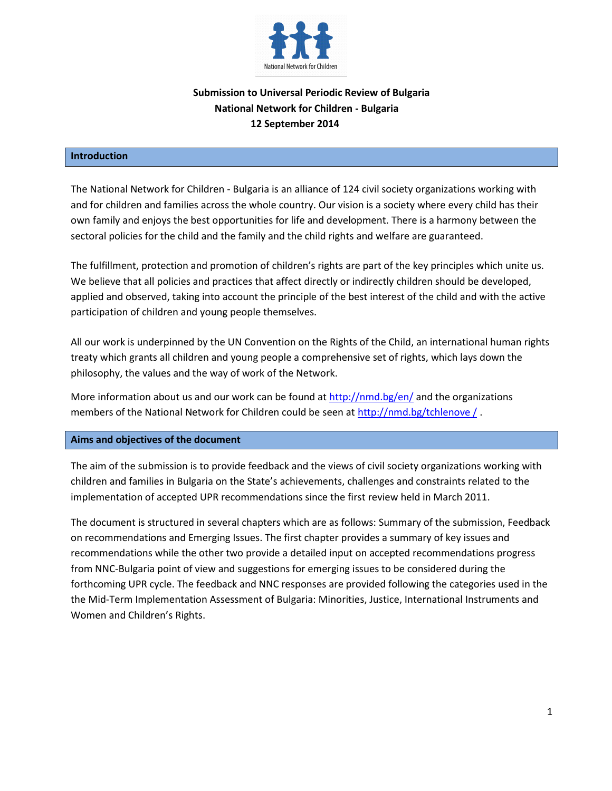

# **Submission to Universal Periodic Review of Bulgaria National Network for Children - Bulgaria 12 September 2014**

#### **Introduction**

The National Network for Children - Bulgaria is an alliance of 124 civil society organizations working with and for children and families across the whole country. Our vision is a society where every child has their own family and enjoys the best opportunities for life and development. There is a harmony between the sectoral policies for the child and the family and the child rights and welfare are guaranteed.

The fulfillment, protection and promotion of children's rights are part of the key principles which unite us. We believe that all policies and practices that affect directly or indirectly children should be developed, applied and observed, taking into account the principle of the best interest of the child and with the active participation of children and young people themselves.

All our work is underpinned by the UN Convention on the Rights of the Child, an international human rights treaty which grants all children and young people a comprehensive set of rights, which lays down the philosophy, the values and the way of work of the Network.

More information about us and our work can be found at<http://nmd.bg/en/> and the organizations members of the National Network for Children could be seen at [http://nmd.bg/tchlenove /](http://nmd.bg/tchlenove%20/) .

### **Aims and objectives of the document**

The aim of the submission is to provide feedback and the views of civil society organizations working with children and families in Bulgaria on the State's achievements, challenges and constraints related to the implementation of accepted UPR recommendations since the first review held in March 2011.

The document is structured in several chapters which are as follows: Summary of the submission, Feedback on recommendations and Emerging Issues. The first chapter provides a summary of key issues and recommendations while the other two provide a detailed input on accepted recommendations progress from NNC-Bulgaria point of view and suggestions for emerging issues to be considered during the forthcoming UPR cycle. The feedback and NNC responses are provided following the categories used in the the Mid-Term Implementation Assessment of Bulgaria: Minorities, Justice, International Instruments and Women and Children's Rights.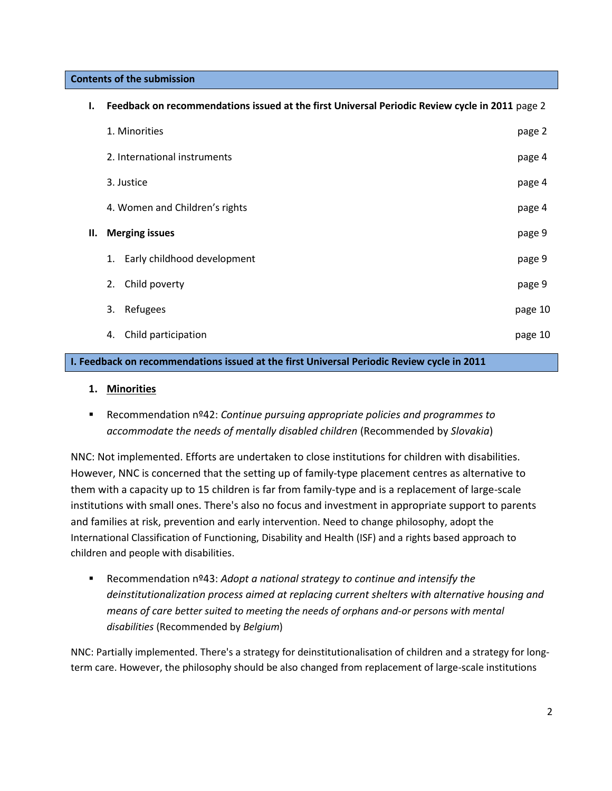**Contents of the submission**

| ı. | Feedback on recommendations issued at the first Universal Periodic Review cycle in 2011 page 2 |         |
|----|------------------------------------------------------------------------------------------------|---------|
|    | 1. Minorities                                                                                  | page 2  |
|    | 2. International instruments                                                                   | page 4  |
|    | 3. Justice                                                                                     | page 4  |
|    | 4. Women and Children's rights                                                                 | page 4  |
| Н. | <b>Merging issues</b>                                                                          | page 9  |
|    | Early childhood development<br>1.                                                              | page 9  |
|    | Child poverty<br>2.                                                                            | page 9  |
|    | Refugees<br>3.                                                                                 | page 10 |
|    | Child participation<br>4.                                                                      | page 10 |

## **I. Feedback on recommendations issued at the first Universal Periodic Review cycle in 2011**

### **1. Minorities**

 Recommendation nº42: *Continue pursuing appropriate policies and programmes to accommodate the needs of mentally disabled children* (Recommended by *Slovakia*)

NNC: Not implemented. Efforts are undertaken to close institutions for children with disabilities. However, NNC is concerned that the setting up of family-type placement centres as alternative to them with a capacity up to 15 children is far from family-type and is a replacement of large-scale institutions with small ones. There's also no focus and investment in appropriate support to parents and families at risk, prevention and early intervention. Need to change philosophy, adopt the International Classification of Functioning, Disability and Health (ISF) and a rights based approach to children and people with disabilities.

 Recommendation nº43: *Adopt a national strategy to continue and intensify the deinstitutionalization process aimed at replacing current shelters with alternative housing and means of care better suited to meeting the needs of orphans and-or persons with mental disabilities* (Recommended by *Belgium*)

NNC: Partially implemented. There's a strategy for deinstitutionalisation of children and a strategy for longterm care. However, the philosophy should be also changed from replacement of large-scale institutions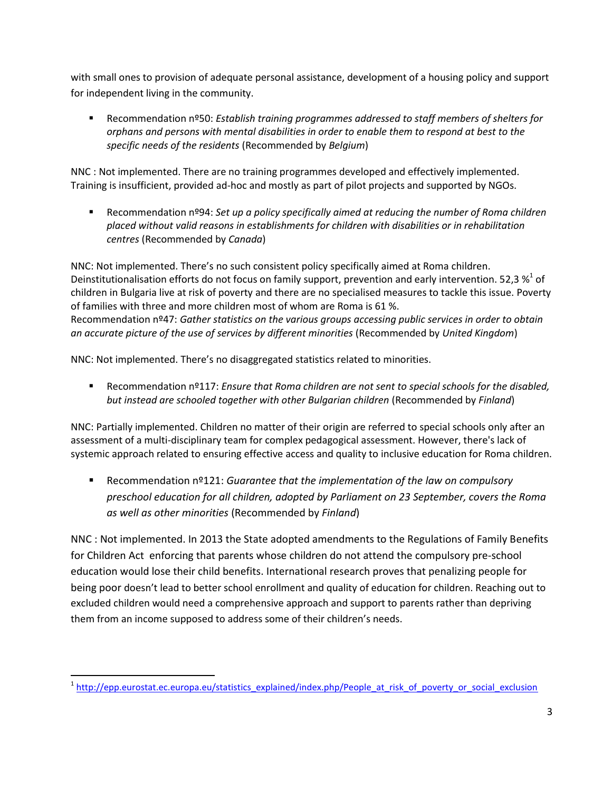with small ones to provision of adequate personal assistance, development of a housing policy and support for independent living in the community.

 Recommendation nº50: *Establish training programmes addressed to staff members of shelters for orphans and persons with mental disabilities in order to enable them to respond at best to the specific needs of the residents* (Recommended by *Belgium*)

NNC : Not implemented. There are no training programmes developed and effectively implemented. Training is insufficient, provided ad-hoc and mostly as part of pilot projects and supported by NGOs.

 Recommendation nº94: *Set up a policy specifically aimed at reducing the number of Roma children placed without valid reasons in establishments for children with disabilities or in rehabilitation centres* (Recommended by *Canada*)

NNC: Not implemented. There's no such consistent policy specifically aimed at Roma children. Deinstitutionalisation efforts do not focus on family support, prevention and early intervention. 52,3  $\frac{\text{w}}{\text{s}}^1$  of children in Bulgaria live at risk of poverty and there are no specialised measures to tackle this issue. Poverty of families with three and more children most of whom are Roma is 61 %. Recommendation nº47: *Gather statistics on the various groups accessing public services in order to obtain an accurate picture of the use of services by different minorities* (Recommended by *United Kingdom*)

NNC: Not implemented. There's no disaggregated statistics related to minorities.

 Recommendation nº117: *Ensure that Roma children are not sent to special schools for the disabled, but instead are schooled together with other Bulgarian children* (Recommended by *Finland*)

NNC: Partially implemented. Children no matter of their origin are referred to special schools only after an assessment of a multi-disciplinary team for complex pedagogical assessment. However, there's lack of systemic approach related to ensuring effective access and quality to inclusive education for Roma children.

 Recommendation nº121: *Guarantee that the implementation of the law on compulsory preschool education for all children, adopted by Parliament on 23 September, covers the Roma as well as other minorities* (Recommended by *Finland*)

NNC : Not implemented. In 2013 the State adopted amendments to the Regulations of Family Benefits for Children Act enforcing that parents whose children do not attend the compulsory pre-school education would lose their child benefits. International research proves that penalizing people for being poor doesn't lead to better school enrollment and quality of education for children. Reaching out to excluded children would need a comprehensive approach and support to parents rather than depriving them from an income supposed to address some of their children's needs.

 $\overline{a}$ 

<sup>&</sup>lt;sup>1</sup> [http://epp.eurostat.ec.europa.eu/statistics\\_explained/index.php/People\\_at\\_risk\\_of\\_poverty\\_or\\_social\\_exclusion](http://epp.eurostat.ec.europa.eu/statistics_explained/index.php/People_at_risk_of_poverty_or_social_exclusion)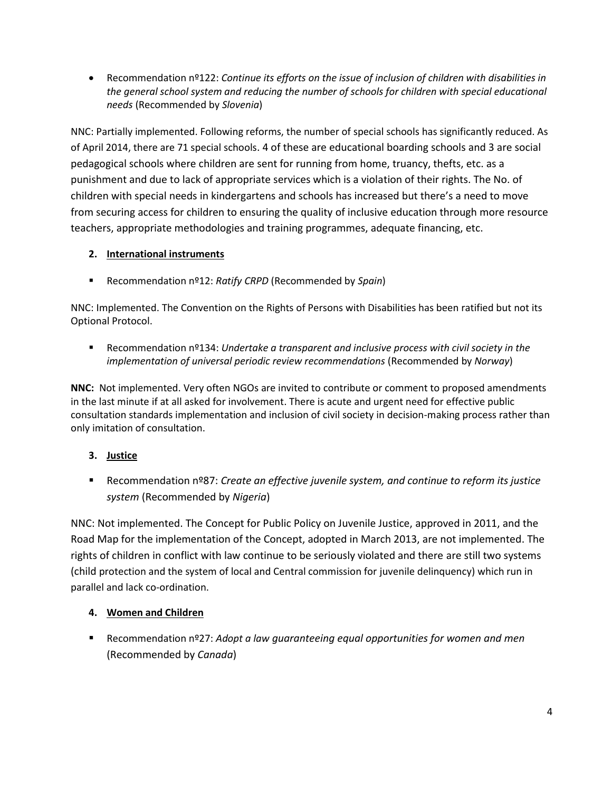Recommendation nº122: *Continue its efforts on the issue of inclusion of children with disabilities in the general school system and reducing the number of schools for children with special educational needs* (Recommended by *Slovenia*)

NNC: Partially implemented. Following reforms, the number of special schools has significantly reduced. As of April 2014, there are 71 special schools. 4 of these are educational boarding schools and 3 are social pedagogical schools where children are sent for running from home, truancy, thefts, etc. as a punishment and due to lack of appropriate services which is a violation of their rights. The No. of children with special needs in kindergartens and schools has increased but there's a need to move from securing access for children to ensuring the quality of inclusive education through more resource teachers, appropriate methodologies and training programmes, adequate financing, etc.

# **2. International instruments**

Recommendation nº12: *Ratify CRPD* (Recommended by *Spain*)

NNC: Implemented. The Convention on the Rights of Persons with Disabilities has been ratified but not its Optional Protocol.

 Recommendation nº134: *Undertake a transparent and inclusive process with civil society in the implementation of universal periodic review recommendations* (Recommended by *Norway*)

**NNC:** Not implemented. Very often NGOs are invited to contribute or comment to proposed amendments in the last minute if at all asked for involvement. There is acute and urgent need for effective public consultation standards implementation and inclusion of civil society in decision-making process rather than only imitation of consultation.

# **3. Justice**

■ Recommendation nº87: *Create an effective juvenile system, and continue to reform its justice system* (Recommended by *Nigeria*)

NNC: Not implemented. The Concept for Public Policy on Juvenile Justice, approved in 2011, and the Road Map for the implementation of the Concept, adopted in March 2013, are not implemented. The rights of children in conflict with law continue to be seriously violated and there are still two systems (child protection and the system of local and Central commission for juvenile delinquency) which run in parallel and lack co-ordination.

## **4. Women and Children**

 Recommendation nº27: *Adopt a law guaranteeing equal opportunities for women and men*  (Recommended by *Canada*)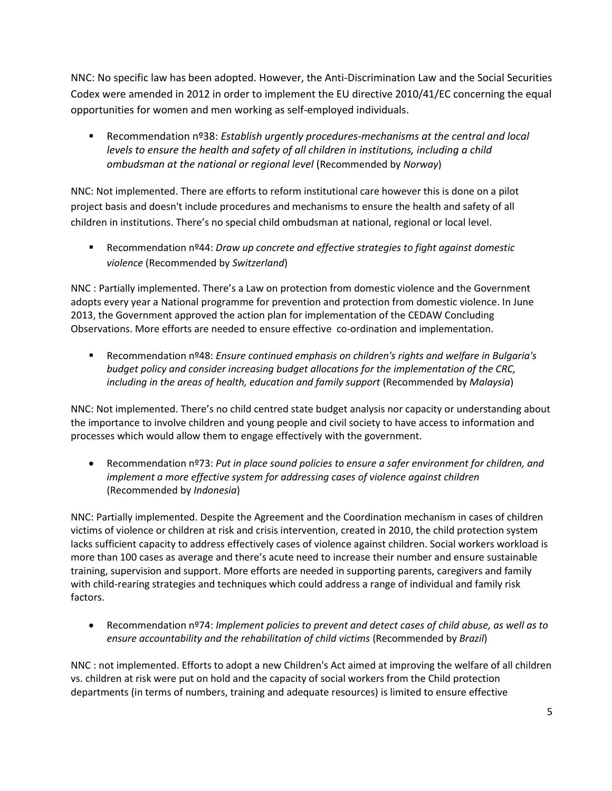NNC: No specific law has been adopted. However, the Anti-Discrimination Law and the Social Securities Codex were amended in 2012 in order to implement the EU directive 2010/41/EC concerning the equal opportunities for women and men working as self-employed individuals.

 Recommendation nº38: *Establish urgently procedures-mechanisms at the central and local levels to ensure the health and safety of all children in institutions, including a child ombudsman at the national or regional level* (Recommended by *Norway*)

NNC: Not implemented. There are efforts to reform institutional care however this is done on a pilot project basis and doesn't include procedures and mechanisms to ensure the health and safety of all children in institutions. There's no special child ombudsman at national, regional or local level.

 Recommendation nº44: *Draw up concrete and effective strategies to fight against domestic violence* (Recommended by *Switzerland*)

NNC : Partially implemented. There's a Law on protection from domestic violence and the Government adopts every year a National programme for prevention and protection from domestic violence. In June 2013, the Government approved the action plan for implementation of the CEDAW Concluding Observations. More efforts are needed to ensure effective co-ordination and implementation.

 Recommendation nº48: *Ensure continued emphasis on children's rights and welfare in Bulgaria's budget policy and consider increasing budget allocations for the implementation of the CRC, including in the areas of health, education and family support* (Recommended by *Malaysia*)

NNC: Not implemented. There's no child centred state budget analysis nor capacity or understanding about the importance to involve children and young people and civil society to have access to information and processes which would allow them to engage effectively with the government.

 Recommendation nº73: *Put in place sound policies to ensure a safer environment for children, and implement a more effective system for addressing cases of violence against children*  (Recommended by *Indonesia*)

NNC: Partially implemented. Despite the Agreement and the Coordination mechanism in cases of children victims of violence or children at risk and crisis intervention, created in 2010, the child protection system lacks sufficient capacity to address effectively cases of violence against children. Social workers workload is more than 100 cases as average and there's acute need to increase their number and ensure sustainable training, supervision and support. More efforts are needed in supporting parents, caregivers and family with child-rearing strategies and techniques which could address a range of individual and family risk factors.

 Recommendation nº74: *Implement policies to prevent and detect cases of child abuse, as well as to ensure accountability and the rehabilitation of child victims* (Recommended by *Brazil*)

NNC : not implemented. Efforts to adopt a new Children's Act aimed at improving the welfare of all children vs. children at risk were put on hold and the capacity of social workers from the Child protection departments (in terms of numbers, training and adequate resources) is limited to ensure effective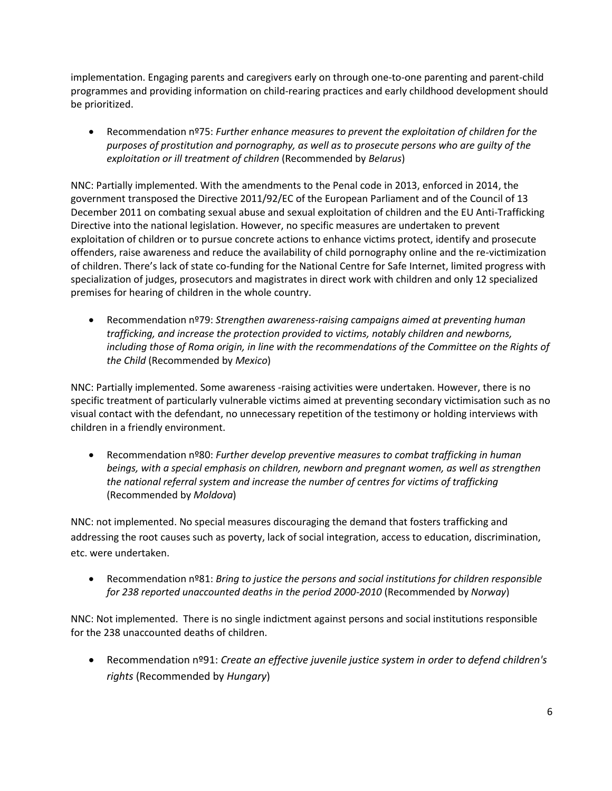implementation. Engaging parents and caregivers early on through one-to-one parenting and parent-child programmes and providing information on child-rearing practices and early childhood development should be prioritized.

 Recommendation nº75: *Further enhance measures to prevent the exploitation of children for the purposes of prostitution and pornography, as well as to prosecute persons who are guilty of the exploitation or ill treatment of children* (Recommended by *Belarus*)

NNC: Partially implemented. With the amendments to the Penal code in 2013, enforced in 2014, the government transposed the Directive 2011/92/EC of the European Parliament and of the Council of 13 December 2011 on combating sexual abuse and sexual exploitation of children and the EU Anti-Trafficking Directive into the national legislation. However, no specific measures are undertaken to prevent exploitation of children or to pursue concrete actions to enhance victims protect, identify and prosecute offenders, raise awareness and reduce the availability of child pornography online and the re-victimization of children. There's lack of state co-funding for the National Centre for Safe Internet, limited progress with specialization of judges, prosecutors and magistrates in direct work with children and only 12 specialized premises for hearing of children in the whole country.

 Recommendation nº79: *Strengthen awareness-raising campaigns aimed at preventing human trafficking, and increase the protection provided to victims, notably children and newborns, including those of Roma origin, in line with the recommendations of the Committee on the Rights of the Child* (Recommended by *Mexico*)

NNC: Partially implemented. Some awareness -raising activities were undertaken. However, there is no specific treatment of particularly vulnerable victims aimed at preventing secondary victimisation such as no visual contact with the defendant, no unnecessary repetition of the testimony or holding interviews with children in a friendly environment.

 Recommendation nº80: *Further develop preventive measures to combat trafficking in human beings, with a special emphasis on children, newborn and pregnant women, as well as strengthen the national referral system and increase the number of centres for victims of trafficking*  (Recommended by *Moldova*)

NNC: not implemented. No special measures discouraging the demand that fosters trafficking and addressing the root causes such as poverty, lack of social integration, access to education, discrimination, etc. were undertaken.

 Recommendation nº81: *Bring to justice the persons and social institutions for children responsible for 238 reported unaccounted deaths in the period 2000-2010* (Recommended by *Norway*)

NNC: Not implemented. There is no single indictment against persons and social institutions responsible for the 238 unaccounted deaths of children.

 Recommendation nº91: *Create an effective juvenile justice system in order to defend children's rights* (Recommended by *Hungary*)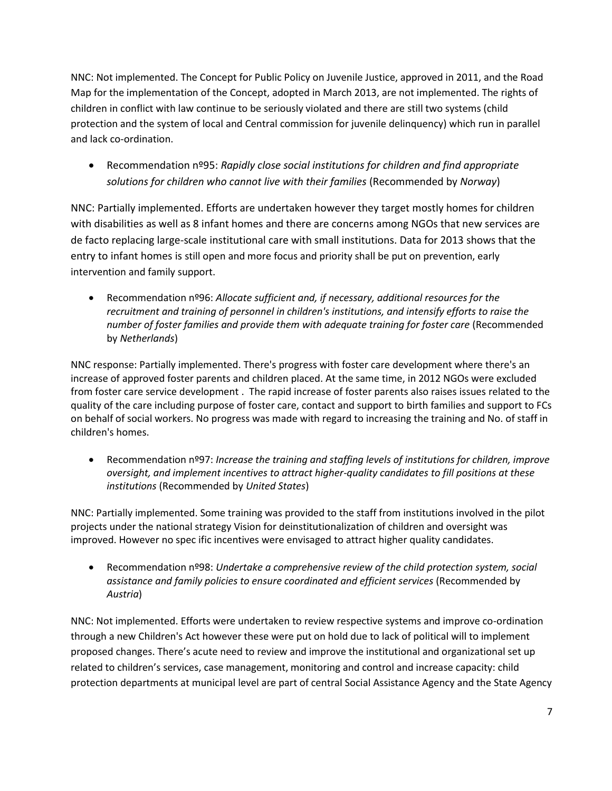NNC: Not implemented. The Concept for Public Policy on Juvenile Justice, approved in 2011, and the Road Map for the implementation of the Concept, adopted in March 2013, are not implemented. The rights of children in conflict with law continue to be seriously violated and there are still two systems (child protection and the system of local and Central commission for juvenile delinquency) which run in parallel and lack co-ordination.

 Recommendation nº95: *Rapidly close social institutions for children and find appropriate solutions for children who cannot live with their families* (Recommended by *Norway*)

NNC: Partially implemented. Efforts are undertaken however they target mostly homes for children with disabilities as well as 8 infant homes and there are concerns among NGOs that new services are de facto replacing large-scale institutional care with small institutions. Data for 2013 shows that the entry to infant homes is still open and more focus and priority shall be put on prevention, early intervention and family support.

 Recommendation nº96: *Allocate sufficient and, if necessary, additional resources for the recruitment and training of personnel in children's institutions, and intensify efforts to raise the number of foster families and provide them with adequate training for foster care (Recommended* by *Netherlands*)

NNC response: Partially implemented. There's progress with foster care development where there's an increase of approved foster parents and children placed. At the same time, in 2012 NGOs were excluded from foster care service development . The rapid increase of foster parents also raises issues related to the quality of the care including purpose of foster care, contact and support to birth families and support to FCs on behalf of social workers. No progress was made with regard to increasing the training and No. of staff in children's homes.

 Recommendation nº97: *Increase the training and staffing levels of institutions for children, improve oversight, and implement incentives to attract higher-quality candidates to fill positions at these institutions* (Recommended by *United States*)

NNC: Partially implemented. Some training was provided to the staff from institutions involved in the pilot projects under the national strategy Vision for deinstitutionalization of children and oversight was improved. However no spec ific incentives were envisaged to attract higher quality candidates.

 Recommendation nº98: *Undertake a comprehensive review of the child protection system, social assistance and family policies to ensure coordinated and efficient services* (Recommended by *Austria*)

NNC: Not implemented. Efforts were undertaken to review respective systems and improve co-ordination through a new Children's Act however these were put on hold due to lack of political will to implement proposed changes. There's acute need to review and improve the institutional and organizational set up related to children's services, case management, monitoring and control and increase capacity: child protection departments at municipal level are part of central Social Assistance Agency and the State Agency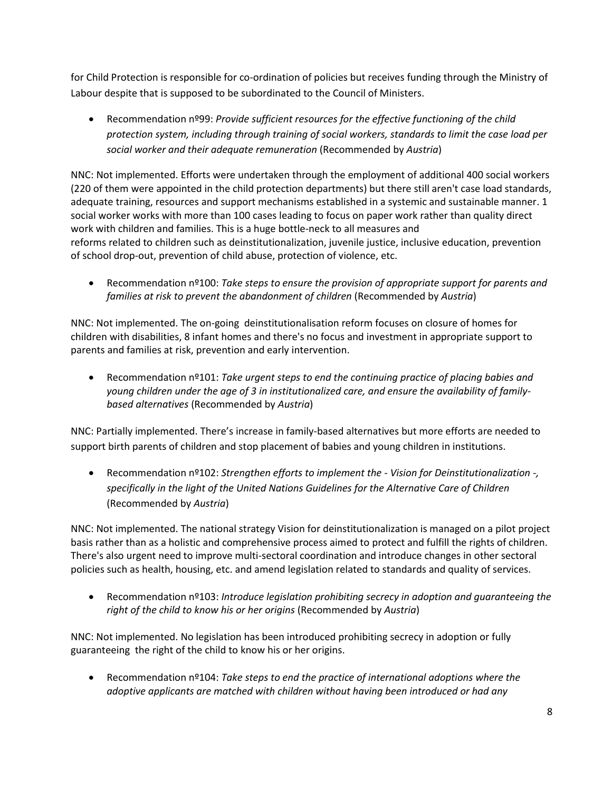for Child Protection is responsible for co-ordination of policies but receives funding through the Ministry of Labour despite that is supposed to be subordinated to the Council of Ministers.

 Recommendation nº99: *Provide sufficient resources for the effective functioning of the child protection system, including through training of social workers, standards to limit the case load per social worker and their adequate remuneration* (Recommended by *Austria*)

NNC: Not implemented. Efforts were undertaken through the employment of additional 400 social workers (220 of them were appointed in the child protection departments) but there still aren't case load standards, adequate training, resources and support mechanisms established in a systemic and sustainable manner. 1 social worker works with more than 100 cases leading to focus on paper work rather than quality direct work with children and families. This is a huge bottle-neck to all measures and reforms related to children such as deinstitutionalization, juvenile justice, inclusive education, prevention of school drop-out, prevention of child abuse, protection of violence, etc.

 Recommendation nº100: *Take steps to ensure the provision of appropriate support for parents and families at risk to prevent the abandonment of children* (Recommended by *Austria*)

NNC: Not implemented. The on-going deinstitutionalisation reform focuses on closure of homes for children with disabilities, 8 infant homes and there's no focus and investment in appropriate support to parents and families at risk, prevention and early intervention.

 Recommendation nº101: *Take urgent steps to end the continuing practice of placing babies and young children under the age of 3 in institutionalized care, and ensure the availability of familybased alternatives* (Recommended by *Austria*)

NNC: Partially implemented. There's increase in family-based alternatives but more efforts are needed to support birth parents of children and stop placement of babies and young children in institutions.

 Recommendation nº102: *Strengthen efforts to implement the - Vision for Deinstitutionalization -, specifically in the light of the United Nations Guidelines for the Alternative Care of Children*  (Recommended by *Austria*)

NNC: Not implemented. The national strategy Vision for deinstitutionalization is managed on a pilot project basis rather than as a holistic and comprehensive process aimed to protect and fulfill the rights of children. There's also urgent need to improve multi-sectoral coordination and introduce changes in other sectoral policies such as health, housing, etc. and amend legislation related to standards and quality of services.

 Recommendation nº103: *Introduce legislation prohibiting secrecy in adoption and guaranteeing the right of the child to know his or her origins* (Recommended by *Austria*)

NNC: Not implemented. No legislation has been introduced prohibiting secrecy in adoption or fully guaranteeing the right of the child to know his or her origins.

 Recommendation nº104: *Take steps to end the practice of international adoptions where the adoptive applicants are matched with children without having been introduced or had any*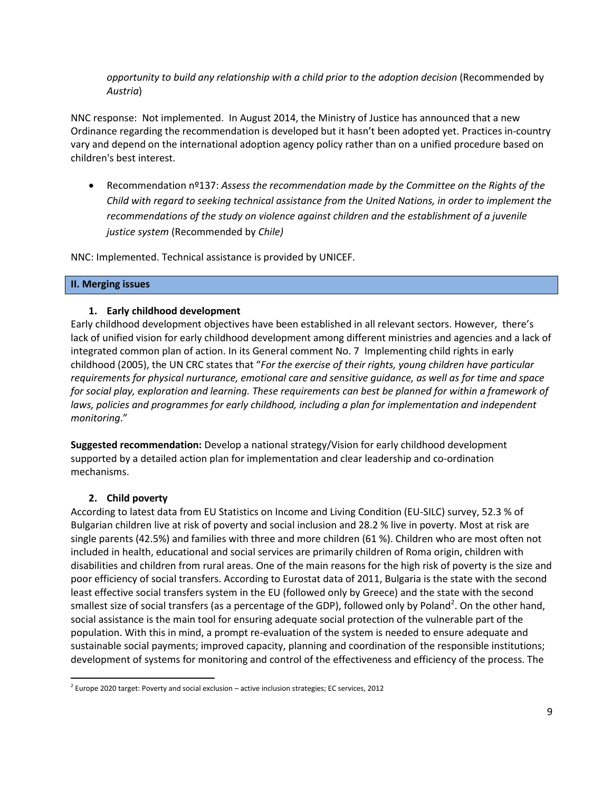*opportunity to build any relationship with a child prior to the adoption decision (Recommended by Austria*)

NNC response: Not implemented. In August 2014, the Ministry of Justice has announced that a new Ordinance regarding the recommendation is developed but it hasn't been adopted yet. Practices in-country vary and depend on the international adoption agency policy rather than on a unified procedure based on children's best interest.

 Recommendation nº137: *Assess the recommendation made by the Committee on the Rights of the Child with regard to seeking technical assistance from the United Nations, in order to implement the recommendations of the study on violence against children and the establishment of a juvenile justice system* (Recommended by *Chile)* 

NNC: Implemented. Technical assistance is provided by UNICEF.

### **II. Merging issues**

### **1. Early childhood development**

Early childhood development objectives have been established in all relevant sectors. However, there's lack of unified vision for early childhood development among different ministries and agencies and a lack of integrated common plan of action. In its General comment No. 7 Implementing child rights in early childhood (2005), the UN CRC states that "*For the exercise of their rights, young children have particular requirements for physical nurturance, emotional care and sensitive guidance, as well as for time and space for social play, exploration and learning. These requirements can best be planned for within a framework of*  laws, policies and programmes for early childhood, including a plan for implementation and independent *monitoring*."

**Suggested recommendation:** Develop a national strategy/Vision for early childhood development supported by a detailed action plan for implementation and clear leadership and co-ordination mechanisms.

### **2. Child poverty**

 $\overline{a}$ 

According to latest data from EU Statistics on Income and Living Condition (EU-SILC) survey, 52.3 % of Bulgarian children live at risk of poverty and social inclusion and 28.2 % live in poverty. Most at risk are single parents (42.5%) and families with three and more children (61 %). Children who are most often not included in health, educational and social services are primarily children of Roma origin, children with disabilities and children from rural areas. One of the main reasons for the high risk of poverty is the size and poor efficiency of social transfers. According to Eurostat data of 2011, Bulgaria is the state with the second least effective social transfers system in the EU (followed only by Greece) and the state with the second smallest size of social transfers (as a percentage of the GDP), followed only by Poland<sup>2</sup>. On the other hand, social assistance is the main tool for ensuring adequate social protection of the vulnerable part of the population. With this in mind, a prompt re-evaluation of the system is needed to ensure adequate and sustainable social payments; improved capacity, planning and coordination of the responsible institutions; development of systems for monitoring and control of the effectiveness and efficiency of the process. The

 $2^{2}$  Europe 2020 target: Poverty and social exclusion – active inclusion strategies; EC services, 2012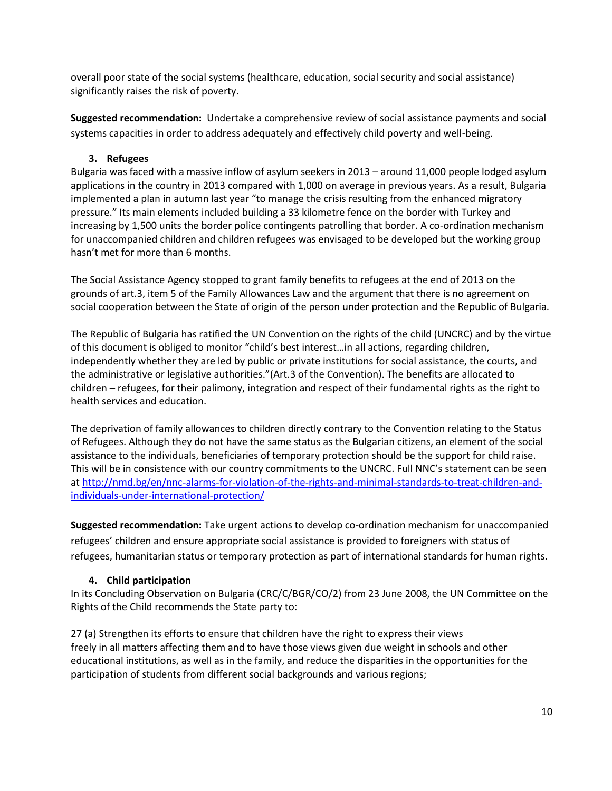overall poor state of the social systems (healthcare, education, social security and social assistance) significantly raises the risk of poverty.

**Suggested recommendation:** Undertake a comprehensive review of social assistance payments and social systems capacities in order to address adequately and effectively child poverty and well-being.

## **3. Refugees**

Bulgaria was faced with a massive inflow of asylum seekers in 2013 – around 11,000 people lodged asylum applications in the country in 2013 compared with 1,000 on average in previous years. As a result, Bulgaria implemented a plan in autumn last year "to manage the crisis resulting from the enhanced migratory pressure." Its main elements included building a 33 kilometre fence on the border with Turkey and increasing by 1,500 units the border police contingents patrolling that border. A co-ordination mechanism for unaccompanied children and children refugees was envisaged to be developed but the working group hasn't met for more than 6 months.

The Social Assistance Agency stopped to grant family benefits to refugees at the end of 2013 on the grounds of art.3, item 5 of the Family Allowances Law and the argument that there is no agreement on social cooperation between the State of origin of the person under protection and the Republic of Bulgaria.

The Republic of Bulgaria has ratified the UN Convention on the rights of the child (UNCRC) and by the virtue of this document is obliged to monitor "child's best interest…in all actions, regarding children, independently whether they are led by public or private institutions for social assistance, the courts, and the administrative or legislative authorities."(Art.3 of the Convention). The benefits are allocated to children – refugees, for their palimony, integration and respect of their fundamental rights as the right to health services and education.

The deprivation of family allowances to children directly contrary to the Convention relating to the Status of Refugees. Although they do not have the same status as the Bulgarian citizens, an element of the social assistance to the individuals, beneficiaries of temporary protection should be the support for child raise. This will be in consistence with our country commitments to the UNCRC. Full NNC's statement can be seen at [http://nmd.bg/en/nnc-alarms-for-violation-of-the-rights-and-minimal-standards-to-treat-children-and](http://nmd.bg/en/nnc-alarms-for-violation-of-the-rights-and-minimal-standards-to-treat-children-and-individuals-under-international-protection/)[individuals-under-international-protection/](http://nmd.bg/en/nnc-alarms-for-violation-of-the-rights-and-minimal-standards-to-treat-children-and-individuals-under-international-protection/)

**Suggested recommendation:** Take urgent actions to develop co-ordination mechanism for unaccompanied refugees' children and ensure appropriate social assistance is provided to foreigners with status of refugees, humanitarian status or temporary protection as part of international standards for human rights.

## **4. Child participation**

In its Concluding Observation on Bulgaria (CRC/C/BGR/CO/2) from 23 June 2008, the UN Committee on the Rights of the Child recommends the State party to:

27 (a) Strengthen its efforts to ensure that children have the right to express their views freely in all matters affecting them and to have those views given due weight in schools and other educational institutions, as well as in the family, and reduce the disparities in the opportunities for the participation of students from different social backgrounds and various regions;